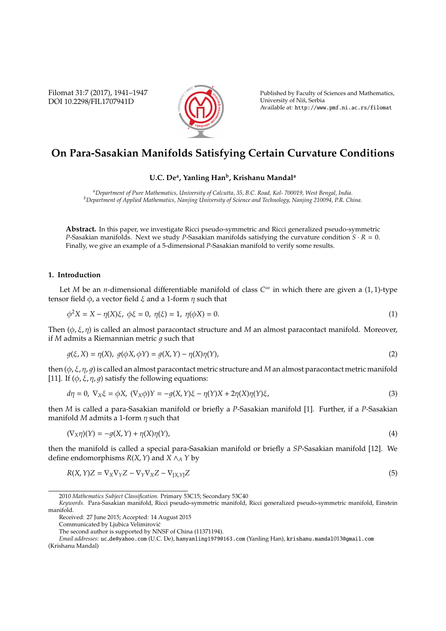Filomat 31:7 (2017), 1941–1947 DOI 10.2298/FIL1707941D



Published by Faculty of Sciences and Mathematics, University of Niš, Serbia Available at: http://www.pmf.ni.ac.rs/filomat

# **On Para-Sasakian Manifolds Satisfying Certain Curvature Conditions**

# **U.C. De<sup>a</sup> , Yanling Han<sup>b</sup> , Krishanu Mandal<sup>a</sup>**

*<sup>a</sup>Department of Pure Mathematics, University of Calcutta, 35, B.C. Road, Kol- 700019, West Bengal, India. <sup>b</sup>Department of Applied Mathematics, Nanjing University of Science and Technology, Nanjing 210094, P.R. China.*

**Abstract.** In this paper, we investigate Ricci pseudo-symmetric and Ricci generalized pseudo-symmetric *P*-Sasakian manifolds. Next we study *P*-Sasakian manifolds satisfying the curvature condition *S* · *R* = 0. Finally, we give an example of a 5-dimensional *P*-Sasakian manifold to verify some results.

## **1. Introduction**

Let *M* be an *n*-dimensional differentiable manifold of class *C* <sup>∞</sup> in which there are given a (1, 1)-type tensor field  $φ$ , a vector field  $ξ$  and a 1-form  $η$  such that

$$
\phi^2 X = X - \eta(X)\xi, \ \phi\xi = 0, \ \eta(\xi) = 1, \ \eta(\phi X) = 0. \tag{1}
$$

Then  $(\phi, \xi, \eta)$  is called an almost paracontact structure and *M* an almost paracontact manifold. Moreover, if  $M$  admits a Riemannian metric  $q$  such that

$$
g(\xi, X) = \eta(X), \ g(\phi X, \phi Y) = g(X, Y) - \eta(X)\eta(Y), \tag{2}
$$

then  $(\phi, \xi, \eta, q)$  is called an almost paracontact metric structure and *M* an almost paracontact metric manifold [11]. If  $(\phi, \xi, \eta, q)$  satisfy the following equations:

$$
d\eta = 0, \ \nabla_X \xi = \phi X, \ (\nabla_X \phi) Y = -g(X, Y)\xi - \eta(Y)X + 2\eta(X)\eta(Y)\xi,
$$
\n<sup>(3)</sup>

then *M* is called a para-Sasakian manifold or briefly a *P*-Sasakian manifold [1]. Further, if a *P*-Sasakian manifold *M* admits a 1-form η such that

$$
(\nabla_X \eta)(Y) = -g(X, Y) + \eta(X)\eta(Y),\tag{4}
$$

then the manifold is called a special para-Sasakian manifold or briefly a *SP*-Sasakian manifold [12]. We define endomorphisms  $R(X, Y)$  and  $X \wedge_A Y$  by

$$
R(X,Y)Z = \nabla_X \nabla_Y Z - \nabla_Y \nabla_X Z - \nabla_{[X,Y]} Z
$$
\n(5)

<sup>2010</sup> *Mathematics Subject Classification*. Primary 53C15; Secondary 53C40

*Keywords*. Para-Sasakian manifold, Ricci pseudo-symmetric manifold, Ricci generalized pseudo-symmetric manifold, Einstein manifold.

Received: 27 June 2015; Accepted: 14 August 2015

Communicated by Ljubica Velimirovic´

The second author is supported by NNSF of China (11371194).

*Email addresses:* uc de@yahoo.com (U.C. De), hanyanling1979@163.com (Yanling Han), krishanu.mandal013@gmail.com (Krishanu Mandal)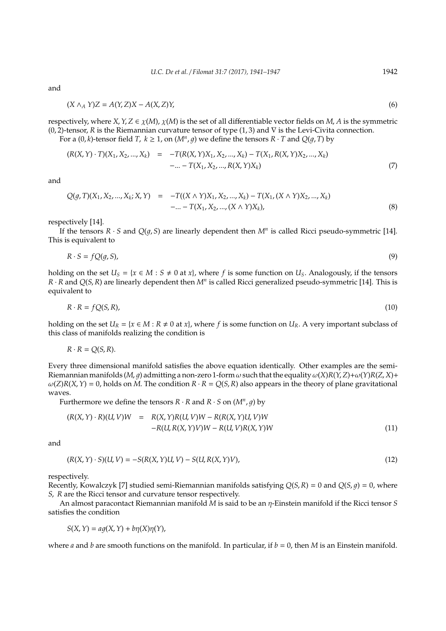and

$$
(X \wedge_A Y)Z = A(Y,Z)X - A(X,Z)Y,\tag{6}
$$

respectively, where  $X, Y, Z \in \chi(M), \chi(M)$  is the set of all differentiable vector fields on *M*, *A* is the symmetric  $(0, 2)$ -tensor, *R* is the Riemannian curvature tensor of type  $(1, 3)$  and  $\nabla$  is the Levi-Civita connection.

For a  $(0, k)$ -tensor field *T*,  $k \ge 1$ , on  $(M^n, g)$  we define the tensors  $R \cdot T$  and  $Q(g, T)$  by

$$
(R(X, Y) \cdot T)(X_1, X_2, ..., X_k) = -T(R(X, Y)X_1, X_2, ..., X_k) - T(X_1, R(X, Y)X_2, ..., X_k) - ... - T(X_1, X_2, ..., R(X, Y)X_k)
$$
\n(7)

and

$$
Q(g, T)(X_1, X_2, ..., X_k; X, Y) = -T((X \wedge Y)X_1, X_2, ..., X_k) - T(X_1, (X \wedge Y)X_2, ..., X_k) -... - T(X_1, X_2, ..., (X \wedge Y)X_k),
$$
\n(8)

respectively [14].

If the tensors  $R \cdot S$  and  $Q(g, S)$  are linearly dependent then  $M^n$  is called Ricci pseudo-symmetric [14]. This is equivalent to

$$
R \cdot S = fQ(g, S),\tag{9}
$$

holding on the set  $U_s = \{x \in M : S \neq 0 \text{ at } x\}$ , where f is some function on  $U_s$ . Analogously, if the tensors *R* · *R* and *Q*(*S*,*R*) are linearly dependent then *M<sup>n</sup>* is called Ricci generalized pseudo-symmetric [14]. This is equivalent to

$$
R \cdot R = fQ(S, R),\tag{10}
$$

holding on the set  $U_R = \{x \in M : R \neq 0 \text{ at } x\}$ , where f is some function on  $U_R$ . A very important subclass of this class of manifolds realizing the condition is

$$
R \cdot R = Q(S, R).
$$

Every three dimensional manifold satisfies the above equation identically. Other examples are the semi-Riemannian manifolds (*M*, *g*) admitting a non-zero 1-form  $\omega$  such that the equality  $\omega(X)R(Y,Z)+\omega(Y)R(Z,X)+$  $\omega(Z)R(X, Y) = 0$ , holds on *M*. The condition  $R \cdot R = Q(S, R)$  also appears in the theory of plane gravitational waves.

Furthermore we define the tensors  $R \cdot R$  and  $R \cdot S$  on  $(M^n, g)$  by

$$
(R(X, Y) \cdot R)(U, V)W = R(X, Y)R(U, V)W - R(R(X, Y)U, V)W
$$
  
-R(U, R(X, Y)V)W - R(U, V)R(X, Y)W (11)

and

$$
(R(X, Y) \cdot S)(U, V) = -S(R(X, Y)U, V) - S(U, R(X, Y)V),
$$
\n(12)

respectively.

Recently, Kowalczyk [7] studied semi-Riemannian manifolds satisfying  $Q(S, R) = 0$  and  $Q(S, q) = 0$ , where *S*, *R* are the Ricci tensor and curvature tensor respectively.

An almost paracontact Riemannian manifold *M* is said to be an η-Einstein manifold if the Ricci tensor *S* satisfies the condition

 $S(X, Y) = aq(X, Y) + bq(X)\eta(Y),$ 

where *a* and *b* are smooth functions on the manifold. In particular, if  $b = 0$ , then *M* is an Einstein manifold.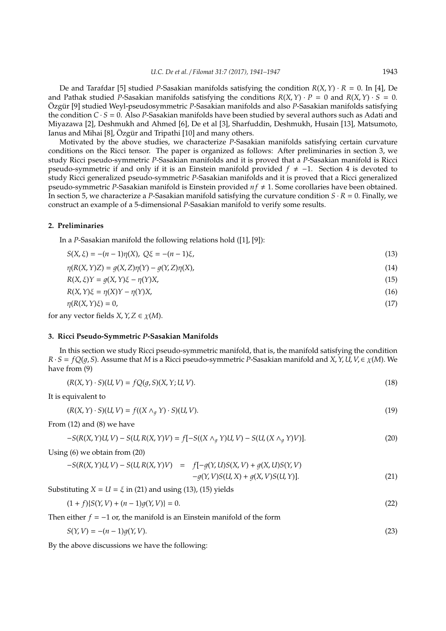De and Tarafdar [5] studied *P*-Sasakian manifolds satisfying the condition  $R(X, Y) \cdot R = 0$ . In [4], De and Pathak studied P-Sasakian manifolds satisfying the conditions  $R(X, Y) \cdot P = 0$  and  $R(X, Y) \cdot S = 0$ . Özgür [9] studied Weyl-pseudosymmetric P-Sasakian manifolds and also P-Sasakian manifolds satisfying the condition  $C \cdot S = 0$ . Also *P*-Sasakian manifolds have been studied by several authors such as Adati and Miyazawa [2], Deshmukh and Ahmed [6], De et al [3], Sharfuddin, Deshmukh, Husain [13], Matsumoto, Ianus and Mihai [8], Özgür and Tripathi [10] and many others.

Motivated by the above studies, we characterize *P*-Sasakian manifolds satisfying certain curvature conditions on the Ricci tensor. The paper is organized as follows: After preliminaries in section 3, we study Ricci pseudo-symmetric *P*-Sasakian manifolds and it is proved that a *P*-Sasakian manifold is Ricci pseudo-symmetric if and only if it is an Einstein manifold provided  $f \neq -1$ . Section 4 is devoted to study Ricci generalized pseudo-symmetric *P*-Sasakian manifolds and it is proved that a Ricci generalized pseudo-symmetric *P*-Sasakian manifold is Einstein provided  $nf \neq 1$ . Some corollaries have been obtained. In section 5, we characterize a *P*-Sasakian manifold satisfying the curvature condition  $S \cdot R = 0$ . Finally, we construct an example of a 5-dimensional *P*-Sasakian manifold to verify some results.

## **2. Preliminaries**

In a *P*-Sasakian manifold the following relations hold ([1], [9]):

$$
S(X, \xi) = -(n-1)\eta(X), \ Q\xi = -(n-1)\xi,
$$
\n(13)

 $\eta(R(X, Y)Z) = q(X, Z)\eta(Y) - q(Y, Z)\eta(X),$ (14)

$$
R(X,\xi)Y = g(X,Y)\xi - \eta(Y)X,\tag{15}
$$

$$
R(X,Y)\xi = \eta(X)Y - \eta(Y)X,\tag{16}
$$

 $\eta(R(X, Y)\xi) = 0,$  (17)

for any vector fields *X*,  $Y$ ,  $Z \in \chi(M)$ .

#### **3. Ricci Pseudo-Symmetric** *P***-Sasakian Manifolds**

In this section we study Ricci pseudo-symmetric manifold, that is, the manifold satisfying the condition  $R \cdot S = fQ(g, S)$ . Assume that *M* is a Ricci pseudo-symmetric *P*-Sasakian manifold and *X*, *Y*, *U*, *V*,  $\in \chi(M)$ . We have from (9)

$$
(R(X,Y)\cdot S)(U,V) = fQ(g,S)(X,Y;U,V).
$$
\n
$$
(18)
$$

It is equivalent to

$$
(R(X, Y) \cdot S)(U, V) = f((X \wedge_g Y) \cdot S)(U, V). \tag{19}
$$

From (12) and (8) we have

$$
-S(R(X,Y)U,V) - S(U,R(X,Y)V) = f[-S((X \wedge_g Y)U,V) - S(U,(X \wedge_g Y)V)].
$$
\n(20)

Using (6) we obtain from (20)

$$
-S(R(X, Y)U, V) - S(U, R(X, Y)V) = f[-g(Y, U)S(X, V) + g(X, U)S(Y, V) - g(Y, V)S(U, X) + g(X, V)S(U, Y)].
$$
\n(21)

Substituting  $X = U = \xi$  in (21) and using (13), (15) yields

$$
(1+f)\{S(Y,V) + (n-1)g(Y,V)\} = 0.
$$
\n(22)

Then either  $f = -1$  or, the manifold is an Einstein manifold of the form

$$
S(Y, V) = -(n-1)g(Y, V). \tag{23}
$$

By the above discussions we have the following: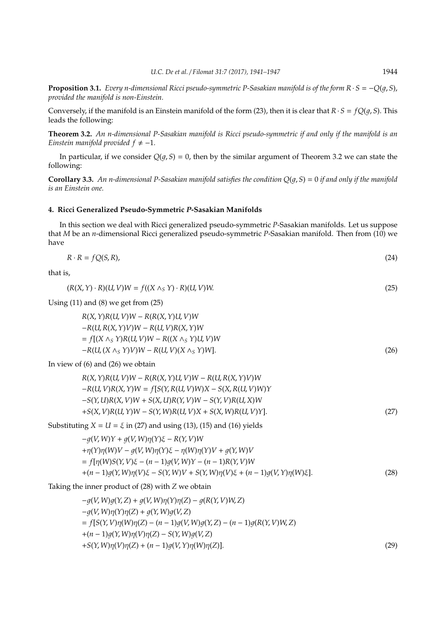**Proposition 3.1.** *Every n-dimensional Ricci pseudo-symmetric P-Sasakian manifold is of the form R·S* =  $-Q(q, S)$ , *provided the manifold is non-Einstein.*

Conversely, if the manifold is an Einstein manifold of the form (23), then it is clear that  $R \cdot S = f(Q(q, S))$ . This leads the following:

**Theorem 3.2.** *An n-dimensional P-Sasakian manifold is Ricci pseudo-symmetric if and only if the manifold is an Einstein manifold provided*  $f \neq -1$ *.* 

In particular, if we consider  $Q(g, S) = 0$ , then by the similar argument of Theorem 3.2 we can state the following:

**Corollary 3.3.** An n-dimensional P-Sasakian manifold satisfies the condition  $Q(q, S) = 0$  if and only if the manifold *is an Einstein one.*

## **4. Ricci Generalized Pseudo-Symmetric** *P***-Sasakian Manifolds**

In this section we deal with Ricci generalized pseudo-symmetric *P*-Sasakian manifolds. Let us suppose that *M* be an *n*-dimensional Ricci generalized pseudo-symmetric *P*-Sasakian manifold. Then from (10) we have

$$
R \cdot R = fQ(S, R),\tag{24}
$$

that is,

$$
(R(X,Y)\cdot R)(U,V)W = f((X\wedge_S Y)\cdot R)(U,V)W.
$$
\n(25)

Using  $(11)$  and  $(8)$  we get from  $(25)$ 

$$
R(X, Y)R(U, V)W - R(R(X, Y)U, V)W
$$
  
-R(U, R(X, Y)V)W - R(U, V)R(X, Y)W  
= f[(X \wedge\_S Y)R(U, V)W - R((X \wedge\_S Y)U, V)W  
-R(U, (X \wedge\_S Y)V)W - R(U, V)(X \wedge\_S Y)W]. (26)

In view of (6) and (26) we obtain

| $R(X, Y)R(U, V)W - R(R(X, Y)U, V)W - R(U, R(X, Y)V)W$    |      |
|----------------------------------------------------------|------|
| $-R(U, V)R(X, Y)W = f[S(Y, R(U, V)W)X - S(X, R(U, V)W)Y$ |      |
| $-S(Y, U)R(X, V)W + S(X, U)R(Y, V)W - S(Y, V)R(U, X)W$   |      |
| $+S(X, V)R(U, Y)W - S(Y, W)R(U, V)X + S(X, W)R(U, V)Y$ . | (27) |

Substituting  $X = U = \xi$  in (27) and using (13), (15) and (16) yields

$$
-g(V,W)Y + g(V,W)\eta(Y)\xi - R(Y,V)W + \eta(Y)\eta(W)V - g(V,W)\eta(Y)\xi - \eta(W)\eta(Y)V + g(Y,W)V = f[\eta(W)S(Y,V)\xi - (n-1)g(V,W)Y - (n-1)R(Y,V)W +(n-1)g(Y,W)\eta(V)\xi - S(Y,W)V + S(Y,W)\eta(V)\xi + (n-1)g(V,Y)\eta(W)\xi].
$$
\n(28)

Taking the inner product of (28) with *Z* we obtain

$$
-g(V, W)g(Y, Z) + g(V, W)\eta(Y)\eta(Z) - g(R(Y, V)W, Z) -g(V, W)\eta(Y)\eta(Z) + g(Y, W)g(V, Z) = f[S(Y, V)\eta(W)\eta(Z) - (n - 1)g(V, W)g(Y, Z) - (n - 1)g(R(Y, V)W, Z) + (n - 1)g(Y, W)\eta(V)\eta(Z) - S(Y, W)g(V, Z) + S(Y, W)\eta(V)\eta(Z) + (n - 1)g(V, Y)\eta(W)\eta(Z)].
$$
\n(29)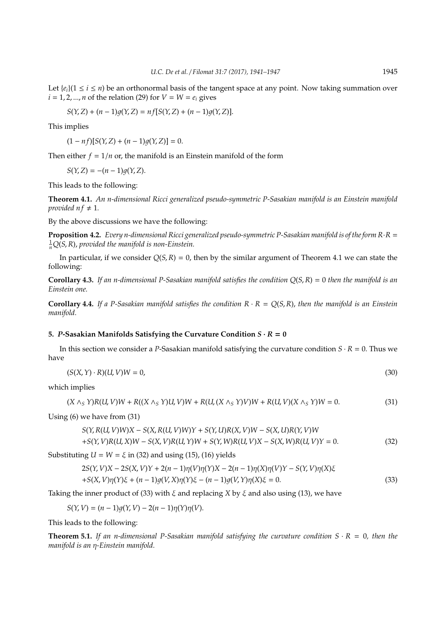Let  $\{e_i\}(1 \le i \le n)$  be an orthonormal basis of the tangent space at any point. Now taking summation over  $i = 1, 2, ..., n$  of the relation (29) for  $V = W = e_i$  gives

$$
S(Y, Z) + (n - 1)g(Y, Z) = nf[S(Y, Z) + (n - 1)g(Y, Z)].
$$

This implies

 $(1 - nf)[S(Y, Z) + (n - 1)q(Y, Z)] = 0.$ 

Then either  $f = 1/n$  or, the manifold is an Einstein manifold of the form

 $S(Y, Z) = -(n-1)q(Y, Z).$ 

This leads to the following:

**Theorem 4.1.** *An n-dimensional Ricci generalized pseudo-symmetric P-Sasakian manifold is an Einstein manifold provided nf*  $\neq$  1*.* 

By the above discussions we have the following:

**Proposition 4.2.** *Every n-dimensional Ricci generalized pseudo-symmetric P-Sasakian manifold is of the form R*·*R* = 1 *<sup>n</sup>Q*(*S*,*R*), *provided the manifold is non-Einstein.*

In particular, if we consider  $Q(S, R) = 0$ , then by the similar argument of Theorem 4.1 we can state the following:

**Corollary 4.3.** *If an n-dimensional P-Sasakian manifold satisfies the condition Q*(*S*,*R*) = 0 *then the manifold is an Einstein one.*

**Corollary 4.4.** If a P-Sasakian manifold satisfies the condition  $R \cdot R = Q(S, R)$ , then the manifold is an Einstein *manifold.*

## **5.** *P***-Sasakian Manifolds Satisfying the Curvature Condition**  $S \cdot R = 0$

In this section we consider a *P*-Sasakian manifold satisfying the curvature condition  $S \cdot R = 0$ . Thus we have

$$
(S(X,Y) \cdot R)(U,V)W = 0,\t\t(30)
$$

which implies

$$
(X \wedge_S Y)R(U, V)W + R((X \wedge_S Y)U, V)W + R(U, (X \wedge_S Y)V)W + R(U, V)(X \wedge_S Y)W = 0.
$$
\n(31)

Using (6) we have from (31)

$$
S(Y, R(U, V)W)X - S(X, R(U, V)W)Y + S(Y, U)R(X, V)W - S(X, U)R(Y, V)W
$$
  
+
$$
S(Y, V)R(U, X)W - S(X, V)R(U, Y)W + S(Y, W)R(U, V)X - S(X, W)R(U, V)Y = 0.
$$
 (32)

Substituting  $U = W = \xi$  in (32) and using (15), (16) yields

$$
2S(Y, V)X - 2S(X, V)Y + 2(n - 1)\eta(V)\eta(Y)X - 2(n - 1)\eta(X)\eta(V)Y - S(Y, V)\eta(X)\xi
$$
  
+
$$
S(X, V)\eta(Y)\xi + (n - 1)g(V, X)\eta(Y)\xi - (n - 1)g(V, Y)\eta(X)\xi = 0.
$$
 (33)

Taking the inner product of (33) with ξ and replacing *X* by ξ and also using (13), we have

 $S(Y, V) = (n - 1)q(Y, V) - 2(n - 1)\eta(Y)\eta(V).$ 

This leads to the following:

**Theorem 5.1.** *If an n-dimensional P-Sasakian manifold satisfying the curvature condition*  $S \cdot R = 0$ *, then the manifold is an* η*-Einstein manifold.*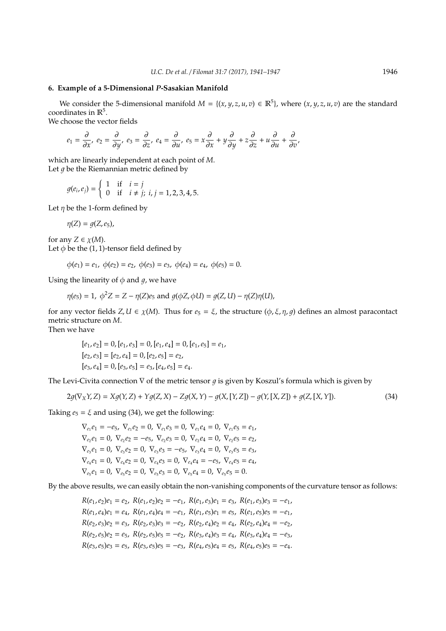# **6. Example of a 5-Dimensional** *P***-Sasakian Manifold**

We consider the 5-dimensional manifold  $M = \{(x, y, z, u, v) \in \mathbb{R}^5\}$ , where  $(x, y, z, u, v)$  are the standard coordinates in  $\mathbb{R}^5$ .

We choose the vector fields

$$
e_1 = \frac{\partial}{\partial x}, \ e_2 = \frac{\partial}{\partial y}, \ e_3 = \frac{\partial}{\partial z}, \ e_4 = \frac{\partial}{\partial u}, \ e_5 = x\frac{\partial}{\partial x} + y\frac{\partial}{\partial y} + z\frac{\partial}{\partial z} + u\frac{\partial}{\partial u} + \frac{\partial}{\partial v'}
$$

which are linearly independent at each point of *M*. Let  $q$  be the Riemannian metric defined by

$$
g(e_i, e_j) = \begin{cases} 1 & \text{if } i = j \\ 0 & \text{if } i \neq j; i, j = 1, 2, 3, 4, 5. \end{cases}
$$

Let  $\eta$  be the 1-form defined by

$$
\eta(Z)=g(Z,e_5),
$$

for any  $Z \in \chi(M)$ . Let  $\phi$  be the (1, 1)-tensor field defined by

$$
\phi(e_1) = e_1, \ \phi(e_2) = e_2, \ \phi(e_3) = e_3, \ \phi(e_4) = e_4, \ \phi(e_5) = 0.
$$

Using the linearity of  $\phi$  and  $g$ , we have

$$
\eta(e_5) = 1
$$
,  $\phi^2 Z = Z - \eta(Z)e_5$  and  $g(\phi Z, \phi U) = g(Z, U) - \eta(Z)\eta(U)$ ,

for any vector fields *Z*,  $U \in \chi(M)$ . Thus for  $e_5 = \xi$ , the structure  $(\phi, \xi, \eta, g)$  defines an almost paracontact metric structure on *M*.

Then we have

$$
[e_1, e_2] = 0, [e_1, e_3] = 0, [e_1, e_4] = 0, [e_1, e_5] = e_1,
$$
  

$$
[e_2, e_3] = [e_2, e_4] = 0, [e_2, e_5] = e_2,
$$
  

$$
[e_3, e_4] = 0, [e_3, e_5] = e_3, [e_4, e_5] = e_4.
$$

The Levi-Civita connection  $\nabla$  of the metric tensor  $g$  is given by Koszul's formula which is given by

$$
2g(\nabla_X Y, Z) = Xg(Y, Z) + Yg(Z, X) - Zg(X, Y) - g(X, [Y, Z]) - g(Y, [X, Z]) + g(Z, [X, Y]).
$$
\n(34)

Taking  $e_5 = \xi$  and using (34), we get the following:

 $\nabla_{e_1} e_1 = -e_5$ ,  $\nabla_{e_1} e_2 = 0$ ,  $\nabla_{e_1} e_3 = 0$ ,  $\nabla_{e_1} e_4 = 0$ ,  $\nabla_{e_1} e_5 = e_1$ ,  $\nabla_{e_2} e_1 = 0$ ,  $\nabla_{e_2} e_2 = -e_5$ ,  $\nabla_{e_2} e_3 = 0$ ,  $\nabla_{e_2} e_4 = 0$ ,  $\nabla_{e_2} e_5 = e_2$ ,  $\nabla_{e_3}e_1 = 0$ ,  $\nabla_{e_3}e_2 = 0$ ,  $\nabla_{e_3}e_3 = -e_5$ ,  $\nabla_{e_3}e_4 = 0$ ,  $\nabla_{e_3}e_5 = e_3$ ,  $\nabla_{e_4}e_1 = 0$ ,  $\nabla_{e_4}e_2 = 0$ ,  $\nabla_{e_4}e_3 = 0$ ,  $\nabla_{e_4}e_4 = -e_5$ ,  $\nabla_{e_4}e_5 = e_4$ ,  $\nabla_{e_5}e_1 = 0$ ,  $\nabla_{e_5}e_2 = 0$ ,  $\nabla_{e_5}e_3 = 0$ ,  $\nabla_{e_5}e_4 = 0$ ,  $\nabla_{e_5}e_5 = 0$ .

By the above results, we can easily obtain the non-vanishing components of the curvature tensor as follows:

 $R(e_1, e_2)e_1 = e_2$ ,  $R(e_1, e_2)e_2 = -e_1$ ,  $R(e_1, e_3)e_1 = e_3$ ,  $R(e_1, e_3)e_3 = -e_1$ ,  $R(e_1, e_4)e_1 = e_4$ ,  $R(e_1, e_4)e_4 = -e_1$ ,  $R(e_1, e_5)e_1 = e_5$ ,  $R(e_1, e_5)e_5 = -e_1$ ,  $R(e_2, e_3)e_2 = e_3$ ,  $R(e_2, e_3)e_3 = -e_2$ ,  $R(e_2, e_4)e_2 = e_4$ ,  $R(e_2, e_4)e_4 = -e_2$ ,  $R(e_2, e_5)e_2 = e_5$ ,  $R(e_2, e_5)e_5 = -e_2$ ,  $R(e_3, e_4)e_3 = e_4$ ,  $R(e_3, e_4)e_4 = -e_3$ ,  $R(e_3, e_5)e_3 = e_5$ ,  $R(e_3, e_5)e_5 = -e_3$ ,  $R(e_4, e_5)e_4 = e_5$ ,  $R(e_4, e_5)e_5 = -e_4$ .